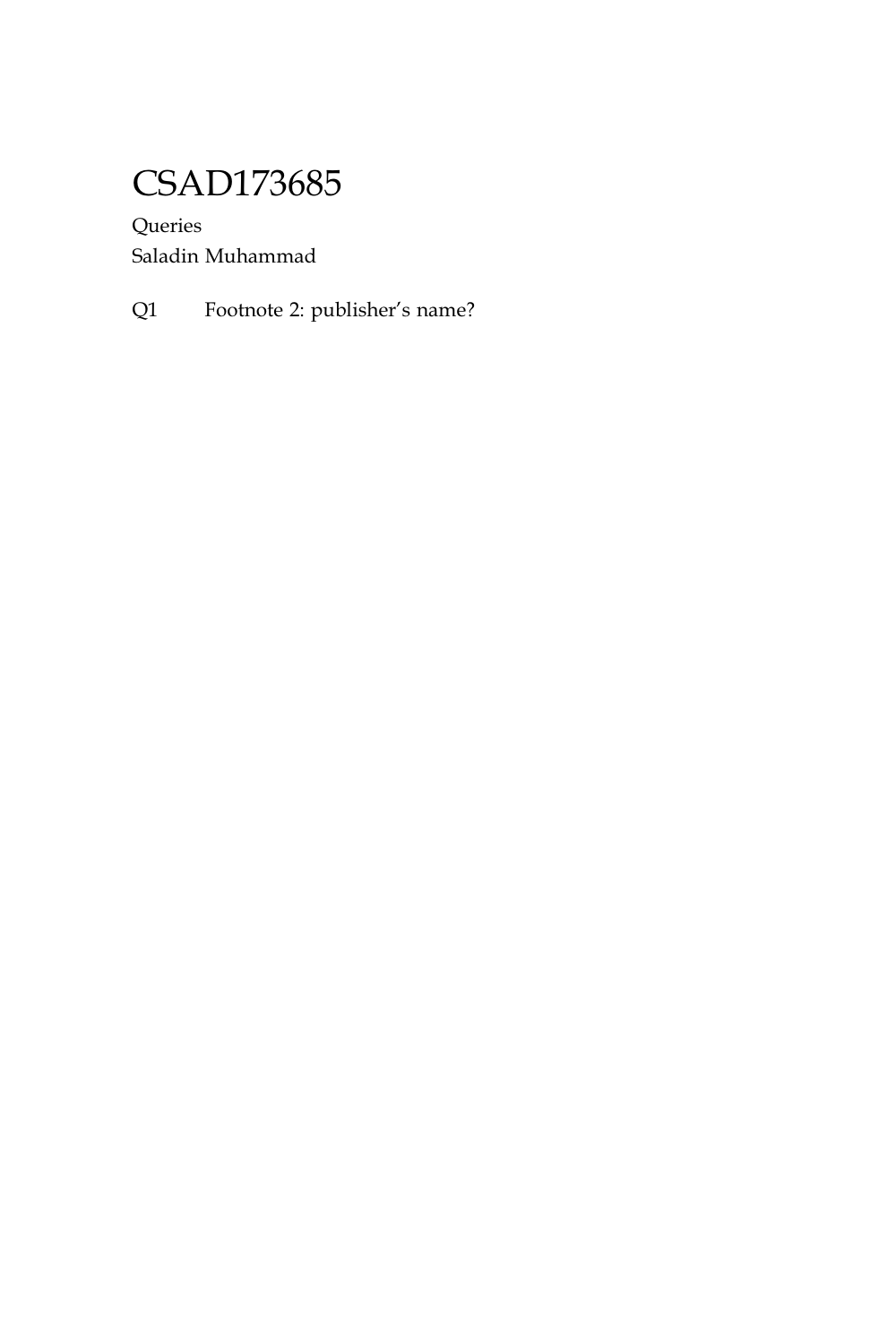## CSAD173685

Queries Saladin Muhammad

## Q1 Footnote 2: publisher's name?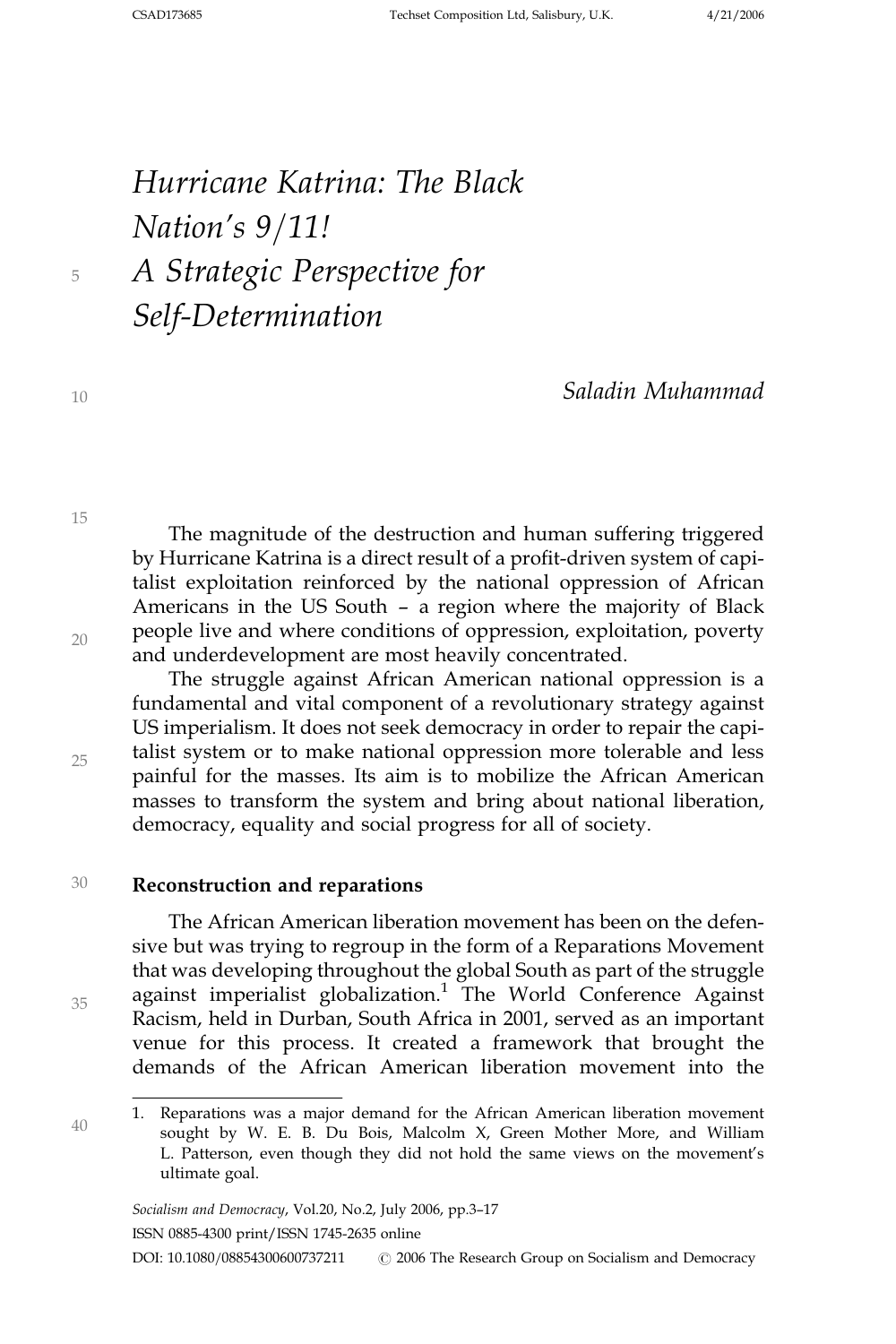# Hurricane Katrina: The Black Nation's 9/11!

A Strategic Perspective for Self-Determination

Saladin Muhammad

15

20

25

10

5

The magnitude of the destruction and human suffering triggered by Hurricane Katrina is a direct result of a profit-driven system of capitalist exploitation reinforced by the national oppression of African Americans in the US South – a region where the majority of Black people live and where conditions of oppression, exploitation, poverty and underdevelopment are most heavily concentrated.

The struggle against African American national oppression is a fundamental and vital component of a revolutionary strategy against US imperialism. It does not seek democracy in order to repair the capitalist system or to make national oppression more tolerable and less painful for the masses. Its aim is to mobilize the African American masses to transform the system and bring about national liberation, democracy, equality and social progress for all of society.

#### Reconstruction and reparations 30

The African American liberation movement has been on the defensive but was trying to regroup in the form of a Reparations Movement that was developing throughout the global South as part of the struggle against imperialist globalization.<sup>1</sup> The World Conference Against Racism, held in Durban, South Africa in 2001, served as an important venue for this process. It created a framework that brought the demands of the African American liberation movement into the

40

<sup>1.</sup> Reparations was a major demand for the African American liberation movement sought by W. E. B. Du Bois, Malcolm X, Green Mother More, and William L. Patterson, even though they did not hold the same views on the movement's ultimate goal.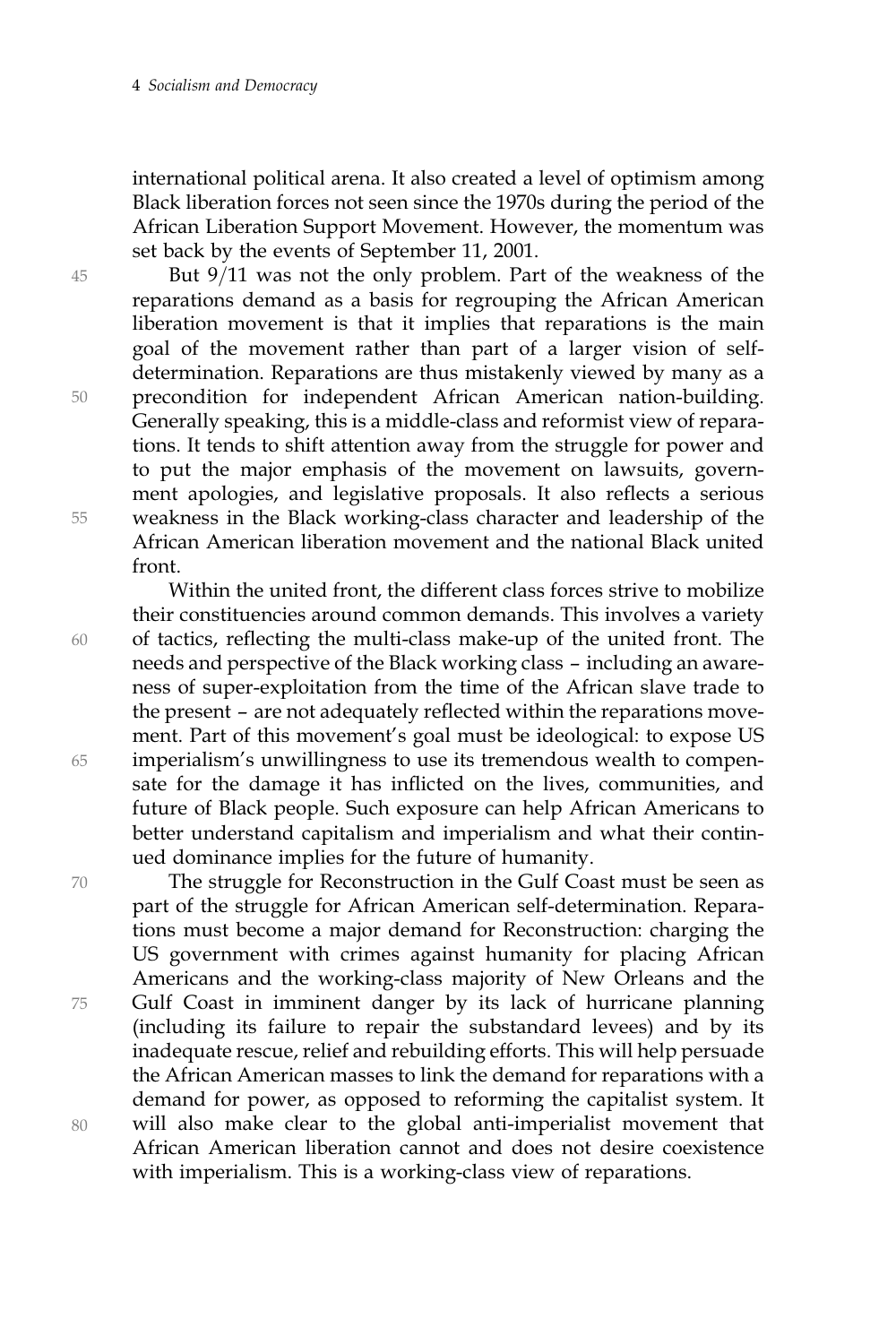international political arena. It also created a level of optimism among Black liberation forces not seen since the 1970s during the period of the African Liberation Support Movement. However, the momentum was set back by the events of September 11, 2001.

But 9/11 was not the only problem. Part of the weakness of the reparations demand as a basis for regrouping the African American liberation movement is that it implies that reparations is the main goal of the movement rather than part of a larger vision of selfdetermination. Reparations are thus mistakenly viewed by many as a precondition for independent African American nation-building. Generally speaking, this is a middle-class and reformist view of reparations. It tends to shift attention away from the struggle for power and to put the major emphasis of the movement on lawsuits, government apologies, and legislative proposals. It also reflects a serious weakness in the Black working-class character and leadership of the African American liberation movement and the national Black united front.

Within the united front, the different class forces strive to mobilize their constituencies around common demands. This involves a variety of tactics, reflecting the multi-class make-up of the united front. The needs and perspective of the Black working class – including an awareness of super-exploitation from the time of the African slave trade to the present – are not adequately reflected within the reparations movement. Part of this movement's goal must be ideological: to expose US imperialism's unwillingness to use its tremendous wealth to compensate for the damage it has inflicted on the lives, communities, and future of Black people. Such exposure can help African Americans to better understand capitalism and imperialism and what their continued dominance implies for the future of humanity.

The struggle for Reconstruction in the Gulf Coast must be seen as part of the struggle for African American self-determination. Reparations must become a major demand for Reconstruction: charging the US government with crimes against humanity for placing African Americans and the working-class majority of New Orleans and the Gulf Coast in imminent danger by its lack of hurricane planning (including its failure to repair the substandard levees) and by its inadequate rescue, relief and rebuilding efforts. This will help persuade the African American masses to link the demand for reparations with a demand for power, as opposed to reforming the capitalist system. It will also make clear to the global anti-imperialist movement that African American liberation cannot and does not desire coexistence with imperialism. This is a working-class view of reparations.

45

55

50

60

70

65

75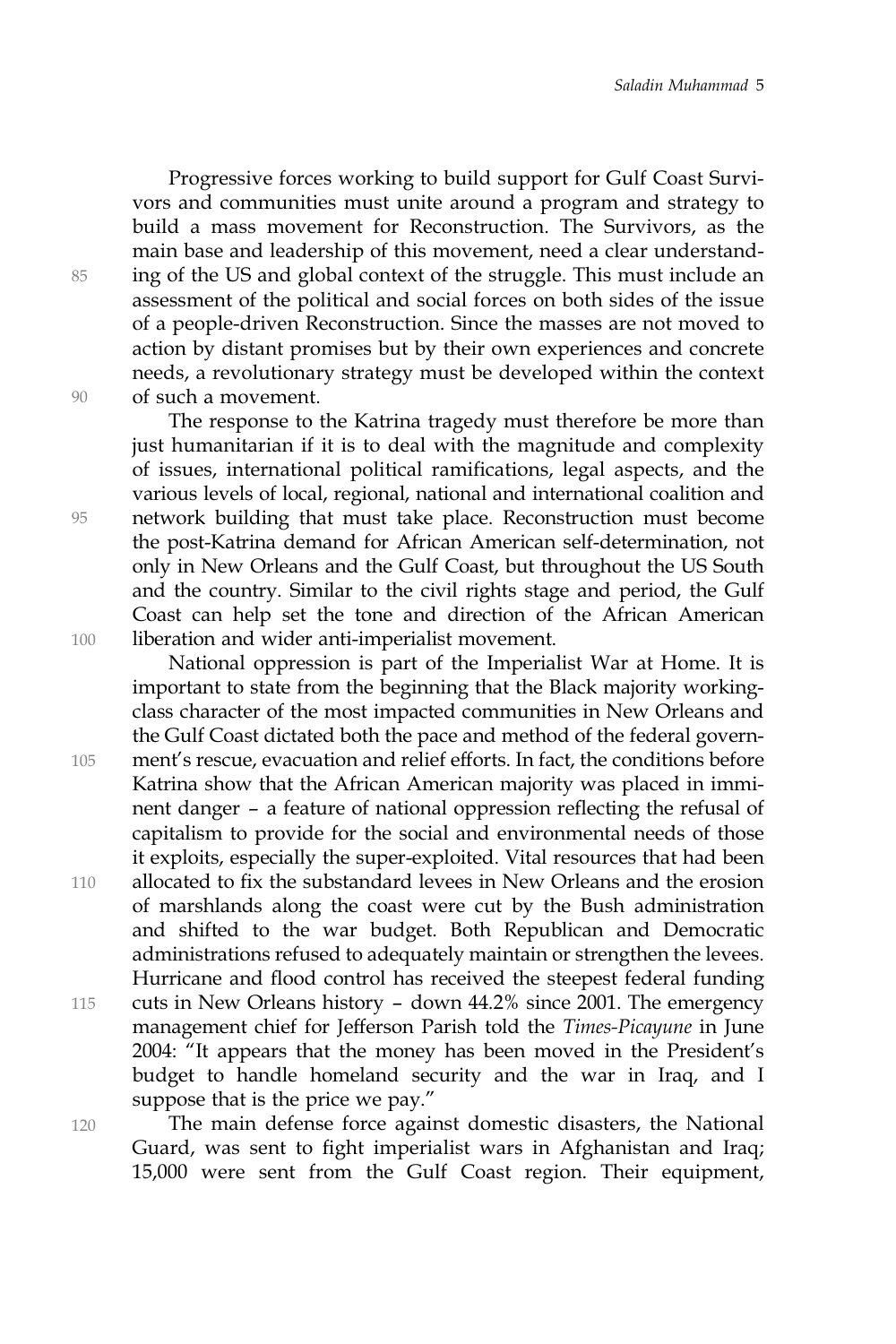Progressive forces working to build support for Gulf Coast Survivors and communities must unite around a program and strategy to build a mass movement for Reconstruction. The Survivors, as the main base and leadership of this movement, need a clear understanding of the US and global context of the struggle. This must include an assessment of the political and social forces on both sides of the issue of a people-driven Reconstruction. Since the masses are not moved to action by distant promises but by their own experiences and concrete needs, a revolutionary strategy must be developed within the context of such a movement.

The response to the Katrina tragedy must therefore be more than just humanitarian if it is to deal with the magnitude and complexity of issues, international political ramifications, legal aspects, and the various levels of local, regional, national and international coalition and network building that must take place. Reconstruction must become the post-Katrina demand for African American self-determination, not only in New Orleans and the Gulf Coast, but throughout the US South and the country. Similar to the civil rights stage and period, the Gulf Coast can help set the tone and direction of the African American liberation and wider anti-imperialist movement.

National oppression is part of the Imperialist War at Home. It is important to state from the beginning that the Black majority workingclass character of the most impacted communities in New Orleans and the Gulf Coast dictated both the pace and method of the federal government's rescue, evacuation and relief efforts. In fact, the conditions before Katrina show that the African American majority was placed in imminent danger – a feature of national oppression reflecting the refusal of capitalism to provide for the social and environmental needs of those it exploits, especially the super-exploited. Vital resources that had been allocated to fix the substandard levees in New Orleans and the erosion of marshlands along the coast were cut by the Bush administration and shifted to the war budget. Both Republican and Democratic

Hurricane and flood control has received the steepest federal funding cuts in New Orleans history – down 44.2% since 2001. The emergency management chief for Jefferson Parish told the Times-Picayune in June 2004: "It appears that the money has been moved in the President's budget to handle homeland security and the war in Iraq, and I suppose that is the price we pay." 115

120

The main defense force against domestic disasters, the National Guard, was sent to fight imperialist wars in Afghanistan and Iraq; 15,000 were sent from the Gulf Coast region. Their equipment,

administrations refused to adequately maintain or strengthen the levees.

85

95

100

105

110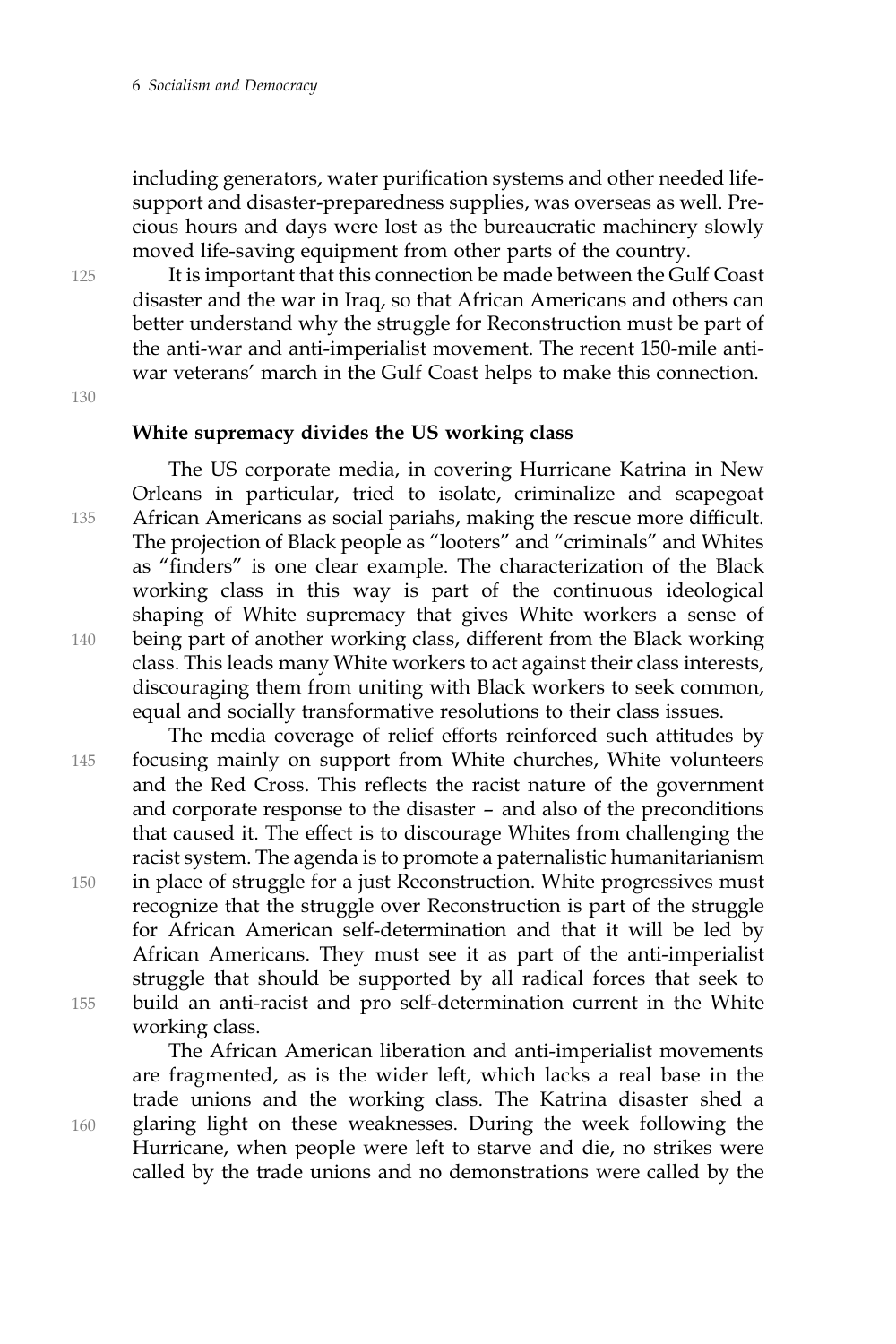including generators, water purification systems and other needed lifesupport and disaster-preparedness supplies, was overseas as well. Precious hours and days were lost as the bureaucratic machinery slowly moved life-saving equipment from other parts of the country.

It is important that this connection be made between the Gulf Coast disaster and the war in Iraq, so that African Americans and others can better understand why the struggle for Reconstruction must be part of the anti-war and anti-imperialist movement. The recent 150-mile antiwar veterans' march in the Gulf Coast helps to make this connection.

130

125

#### White supremacy divides the US working class

The US corporate media, in covering Hurricane Katrina in New Orleans in particular, tried to isolate, criminalize and scapegoat African Americans as social pariahs, making the rescue more difficult. The projection of Black people as "looters" and "criminals" and Whites as "finders" is one clear example. The characterization of the Black working class in this way is part of the continuous ideological shaping of White supremacy that gives White workers a sense of being part of another working class, different from the Black working class. This leads many White workers to act against their class interests, discouraging them from uniting with Black workers to seek common, equal and socially transformative resolutions to their class issues.

The media coverage of relief efforts reinforced such attitudes by focusing mainly on support from White churches, White volunteers and the Red Cross. This reflects the racist nature of the government and corporate response to the disaster – and also of the preconditions that caused it. The effect is to discourage Whites from challenging the racist system. The agenda is to promote a paternalistic humanitarianism in place of struggle for a just Reconstruction. White progressives must recognize that the struggle over Reconstruction is part of the struggle for African American self-determination and that it will be led by African Americans. They must see it as part of the anti-imperialist struggle that should be supported by all radical forces that seek to build an anti-racist and pro self-determination current in the White working class. 145 155

The African American liberation and anti-imperialist movements are fragmented, as is the wider left, which lacks a real base in the trade unions and the working class. The Katrina disaster shed a glaring light on these weaknesses. During the week following the Hurricane, when people were left to starve and die, no strikes were called by the trade unions and no demonstrations were called by the

140

135

150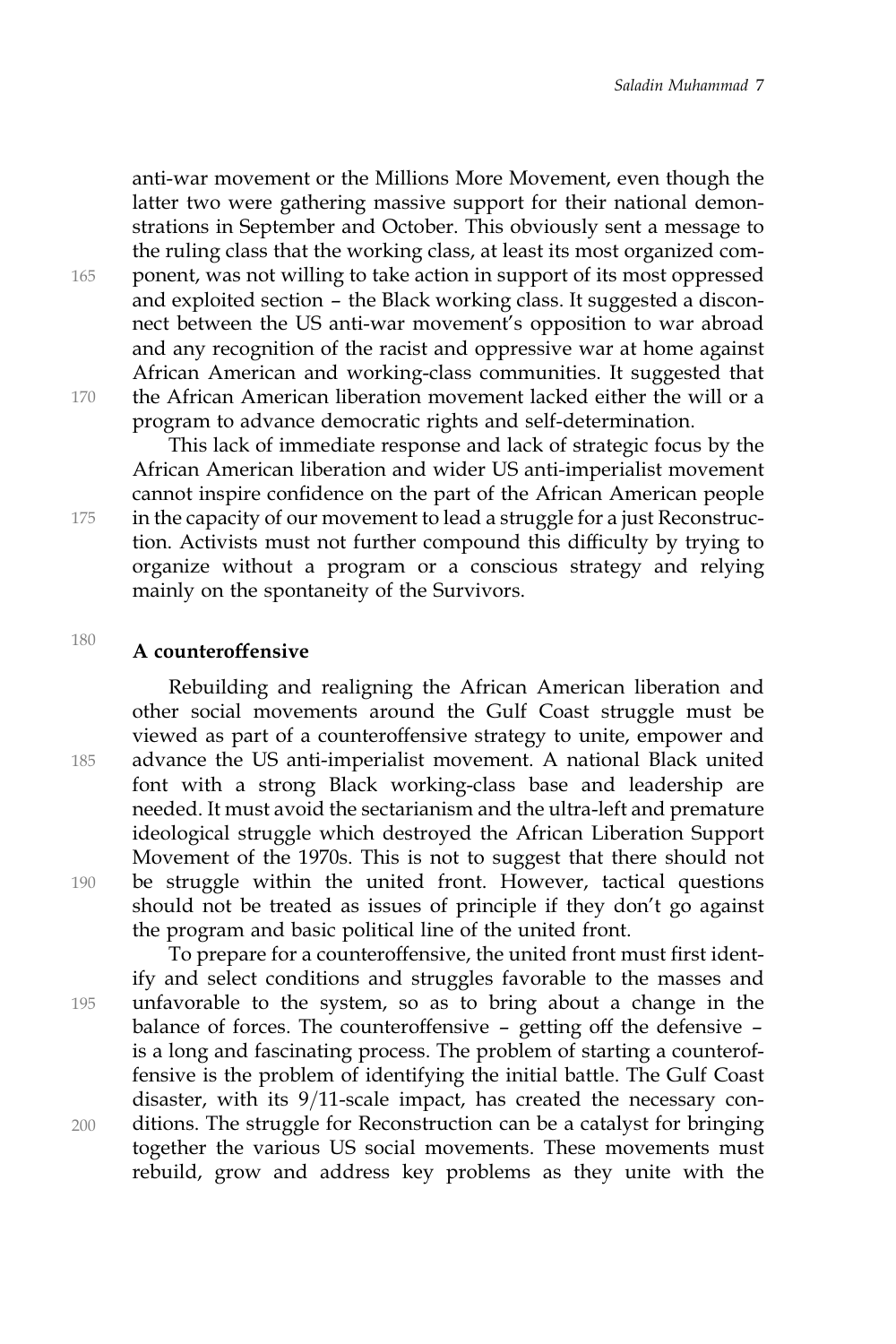anti-war movement or the Millions More Movement, even though the latter two were gathering massive support for their national demonstrations in September and October. This obviously sent a message to the ruling class that the working class, at least its most organized component, was not willing to take action in support of its most oppressed and exploited section – the Black working class. It suggested a disconnect between the US anti-war movement's opposition to war abroad and any recognition of the racist and oppressive war at home against African American and working-class communities. It suggested that the African American liberation movement lacked either the will or a program to advance democratic rights and self-determination.

This lack of immediate response and lack of strategic focus by the African American liberation and wider US anti-imperialist movement cannot inspire confidence on the part of the African American people in the capacity of our movement to lead a struggle for a just Reconstruction. Activists must not further compound this difficulty by trying to organize without a program or a conscious strategy and relying mainly on the spontaneity of the Survivors.

#### A counteroffensive

Rebuilding and realigning the African American liberation and other social movements around the Gulf Coast struggle must be viewed as part of a counteroffensive strategy to unite, empower and advance the US anti-imperialist movement. A national Black united font with a strong Black working-class base and leadership are needed. It must avoid the sectarianism and the ultra-left and premature ideological struggle which destroyed the African Liberation Support Movement of the 1970s. This is not to suggest that there should not be struggle within the united front. However, tactical questions should not be treated as issues of principle if they don't go against the program and basic political line of the united front.

To prepare for a counteroffensive, the united front must first identify and select conditions and struggles favorable to the masses and unfavorable to the system, so as to bring about a change in the balance of forces. The counteroffensive – getting off the defensive – is a long and fascinating process. The problem of starting a counteroffensive is the problem of identifying the initial battle. The Gulf Coast disaster, with its 9/11-scale impact, has created the necessary conditions. The struggle for Reconstruction can be a catalyst for bringing together the various US social movements. These movements must rebuild, grow and address key problems as they unite with the

170

165

180

185

190

175

195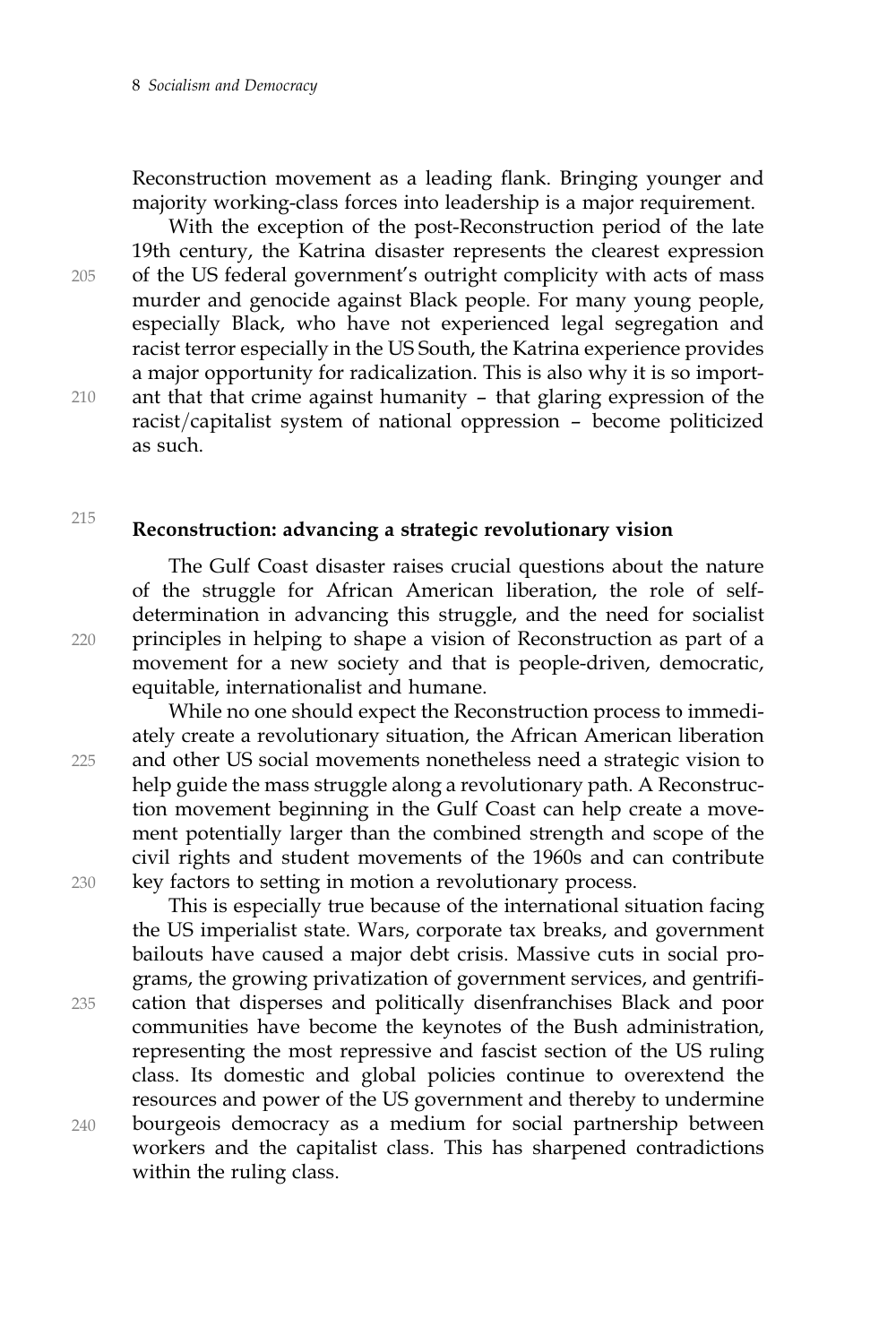Reconstruction movement as a leading flank. Bringing younger and majority working-class forces into leadership is a major requirement.

With the exception of the post-Reconstruction period of the late 19th century, the Katrina disaster represents the clearest expression of the US federal government's outright complicity with acts of mass murder and genocide against Black people. For many young people, especially Black, who have not experienced legal segregation and racist terror especially in the US South, the Katrina experience provides a major opportunity for radicalization. This is also why it is so important that that crime against humanity – that glaring expression of the racist/capitalist system of national oppression – become politicized as such.

#### Reconstruction: advancing a strategic revolutionary vision 215

The Gulf Coast disaster raises crucial questions about the nature of the struggle for African American liberation, the role of selfdetermination in advancing this struggle, and the need for socialist principles in helping to shape a vision of Reconstruction as part of a movement for a new society and that is people-driven, democratic, equitable, internationalist and humane.

While no one should expect the Reconstruction process to immediately create a revolutionary situation, the African American liberation and other US social movements nonetheless need a strategic vision to help guide the mass struggle along a revolutionary path. A Reconstruction movement beginning in the Gulf Coast can help create a movement potentially larger than the combined strength and scope of the civil rights and student movements of the 1960s and can contribute key factors to setting in motion a revolutionary process.

This is especially true because of the international situation facing the US imperialist state. Wars, corporate tax breaks, and government bailouts have caused a major debt crisis. Massive cuts in social programs, the growing privatization of government services, and gentrification that disperses and politically disenfranchises Black and poor communities have become the keynotes of the Bush administration, representing the most repressive and fascist section of the US ruling class. Its domestic and global policies continue to overextend the resources and power of the US government and thereby to undermine bourgeois democracy as a medium for social partnership between workers and the capitalist class. This has sharpened contradictions within the ruling class.

210

205

220

225

230

235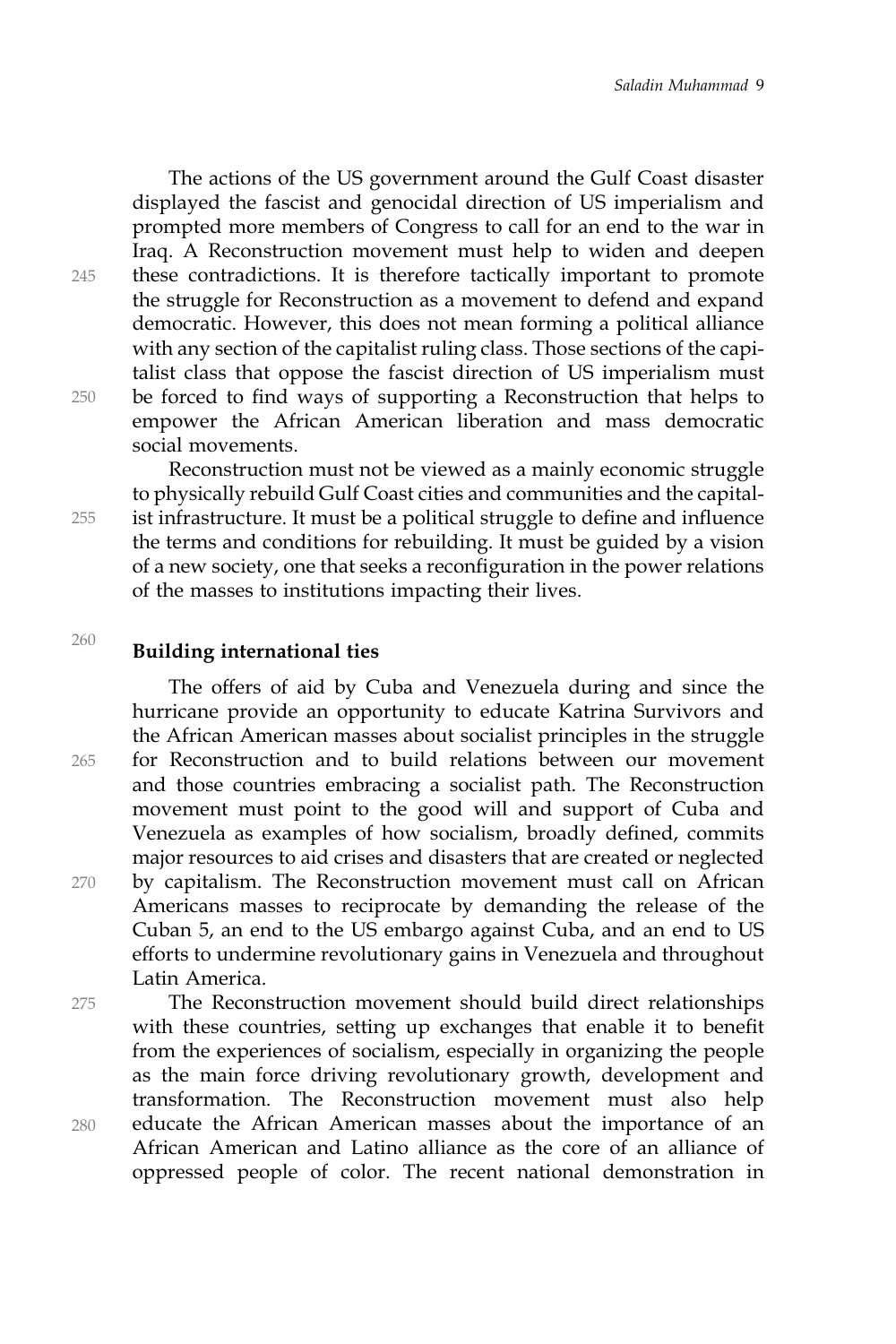The actions of the US government around the Gulf Coast disaster displayed the fascist and genocidal direction of US imperialism and prompted more members of Congress to call for an end to the war in Iraq. A Reconstruction movement must help to widen and deepen these contradictions. It is therefore tactically important to promote the struggle for Reconstruction as a movement to defend and expand democratic. However, this does not mean forming a political alliance with any section of the capitalist ruling class. Those sections of the capitalist class that oppose the fascist direction of US imperialism must be forced to find ways of supporting a Reconstruction that helps to empower the African American liberation and mass democratic social movements.

Reconstruction must not be viewed as a mainly economic struggle to physically rebuild Gulf Coast cities and communities and the capitalist infrastructure. It must be a political struggle to define and influence the terms and conditions for rebuilding. It must be guided by a vision of a new society, one that seeks a reconfiguration in the power relations of the masses to institutions impacting their lives.

## Building international ties

The offers of aid by Cuba and Venezuela during and since the hurricane provide an opportunity to educate Katrina Survivors and the African American masses about socialist principles in the struggle for Reconstruction and to build relations between our movement and those countries embracing a socialist path. The Reconstruction movement must point to the good will and support of Cuba and Venezuela as examples of how socialism, broadly defined, commits major resources to aid crises and disasters that are created or neglected by capitalism. The Reconstruction movement must call on African Americans masses to reciprocate by demanding the release of the Cuban 5, an end to the US embargo against Cuba, and an end to US efforts to undermine revolutionary gains in Venezuela and throughout Latin America. 265 270

The Reconstruction movement should build direct relationships with these countries, setting up exchanges that enable it to benefit from the experiences of socialism, especially in organizing the people as the main force driving revolutionary growth, development and transformation. The Reconstruction movement must also help educate the African American masses about the importance of an African American and Latino alliance as the core of an alliance of oppressed people of color. The recent national demonstration in 275 280

245

255

250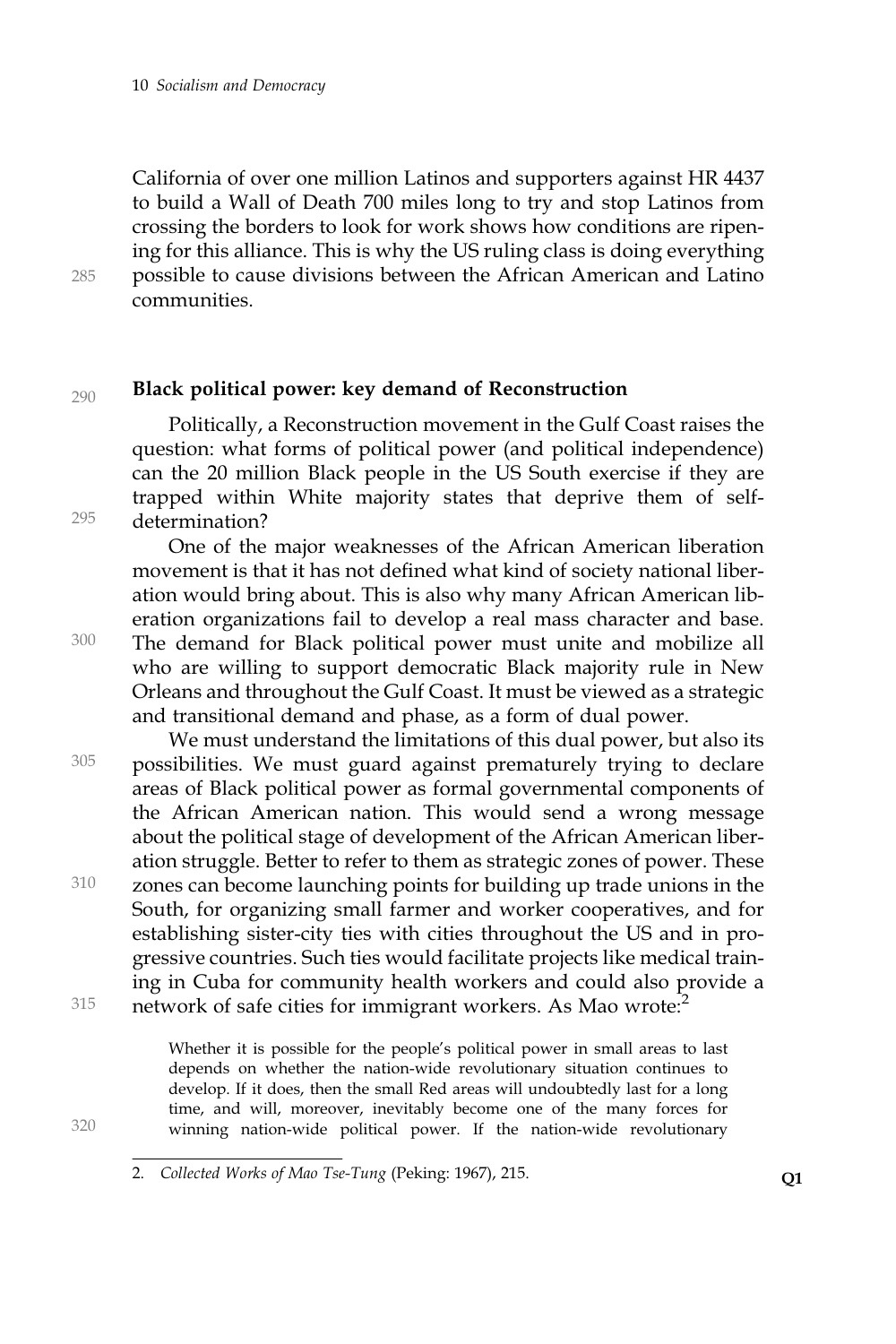California of over one million Latinos and supporters against HR 4437 to build a Wall of Death 700 miles long to try and stop Latinos from crossing the borders to look for work shows how conditions are ripening for this alliance. This is why the US ruling class is doing everything possible to cause divisions between the African American and Latino communities.

#### Black political power: key demand of Reconstruction 290

Politically, a Reconstruction movement in the Gulf Coast raises the question: what forms of political power (and political independence) can the 20 million Black people in the US South exercise if they are trapped within White majority states that deprive them of selfdetermination?

One of the major weaknesses of the African American liberation movement is that it has not defined what kind of society national liberation would bring about. This is also why many African American liberation organizations fail to develop a real mass character and base. The demand for Black political power must unite and mobilize all who are willing to support democratic Black majority rule in New Orleans and throughout the Gulf Coast. It must be viewed as a strategic and transitional demand and phase, as a form of dual power.

We must understand the limitations of this dual power, but also its possibilities. We must guard against prematurely trying to declare areas of Black political power as formal governmental components of the African American nation. This would send a wrong message about the political stage of development of the African American liberation struggle. Better to refer to them as strategic zones of power. These zones can become launching points for building up trade unions in the South, for organizing small farmer and worker cooperatives, and for establishing sister-city ties with cities throughout the US and in progressive countries. Such ties would facilitate projects like medical training in Cuba for community health workers and could also provide a network of safe cities for immigrant workers. As Mao wrote:<sup>2</sup> 305 310 315

> Whether it is possible for the people's political power in small areas to last depends on whether the nation-wide revolutionary situation continues to develop. If it does, then the small Red areas will undoubtedly last for a long time, and will, moreover, inevitably become one of the many forces for winning nation-wide political power. If the nation-wide revolutionary

295

285

300

<sup>2.</sup> Collected Works of Mao Tse-Tung (Peking: 1967), 215.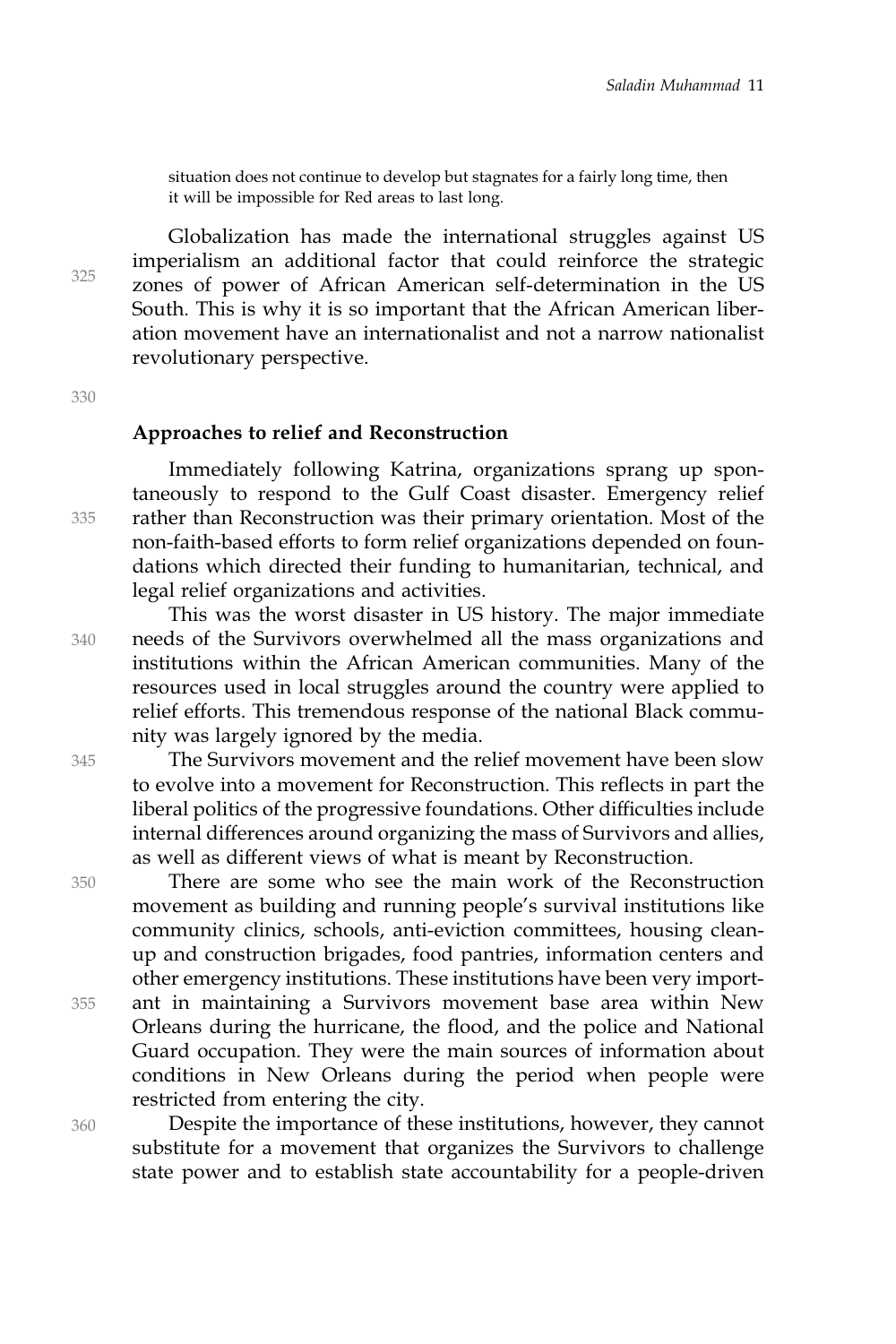situation does not continue to develop but stagnates for a fairly long time, then it will be impossible for Red areas to last long.

Globalization has made the international struggles against US imperialism an additional factor that could reinforce the strategic zones of power of African American self-determination in the US South. This is why it is so important that the African American liberation movement have an internationalist and not a narrow nationalist revolutionary perspective.

330

335

340

325

### Approaches to relief and Reconstruction

Immediately following Katrina, organizations sprang up spontaneously to respond to the Gulf Coast disaster. Emergency relief rather than Reconstruction was their primary orientation. Most of the non-faith-based efforts to form relief organizations depended on foundations which directed their funding to humanitarian, technical, and legal relief organizations and activities.

This was the worst disaster in US history. The major immediate needs of the Survivors overwhelmed all the mass organizations and institutions within the African American communities. Many of the resources used in local struggles around the country were applied to relief efforts. This tremendous response of the national Black community was largely ignored by the media.

The Survivors movement and the relief movement have been slow to evolve into a movement for Reconstruction. This reflects in part the liberal politics of the progressive foundations. Other difficulties include internal differences around organizing the mass of Survivors and allies, as well as different views of what is meant by Reconstruction.

There are some who see the main work of the Reconstruction movement as building and running people's survival institutions like community clinics, schools, anti-eviction committees, housing cleanup and construction brigades, food pantries, information centers and other emergency institutions. These institutions have been very important in maintaining a Survivors movement base area within New Orleans during the hurricane, the flood, and the police and National Guard occupation. They were the main sources of information about conditions in New Orleans during the period when people were restricted from entering the city.

Despite the importance of these institutions, however, they cannot substitute for a movement that organizes the Survivors to challenge state power and to establish state accountability for a people-driven

345

355

350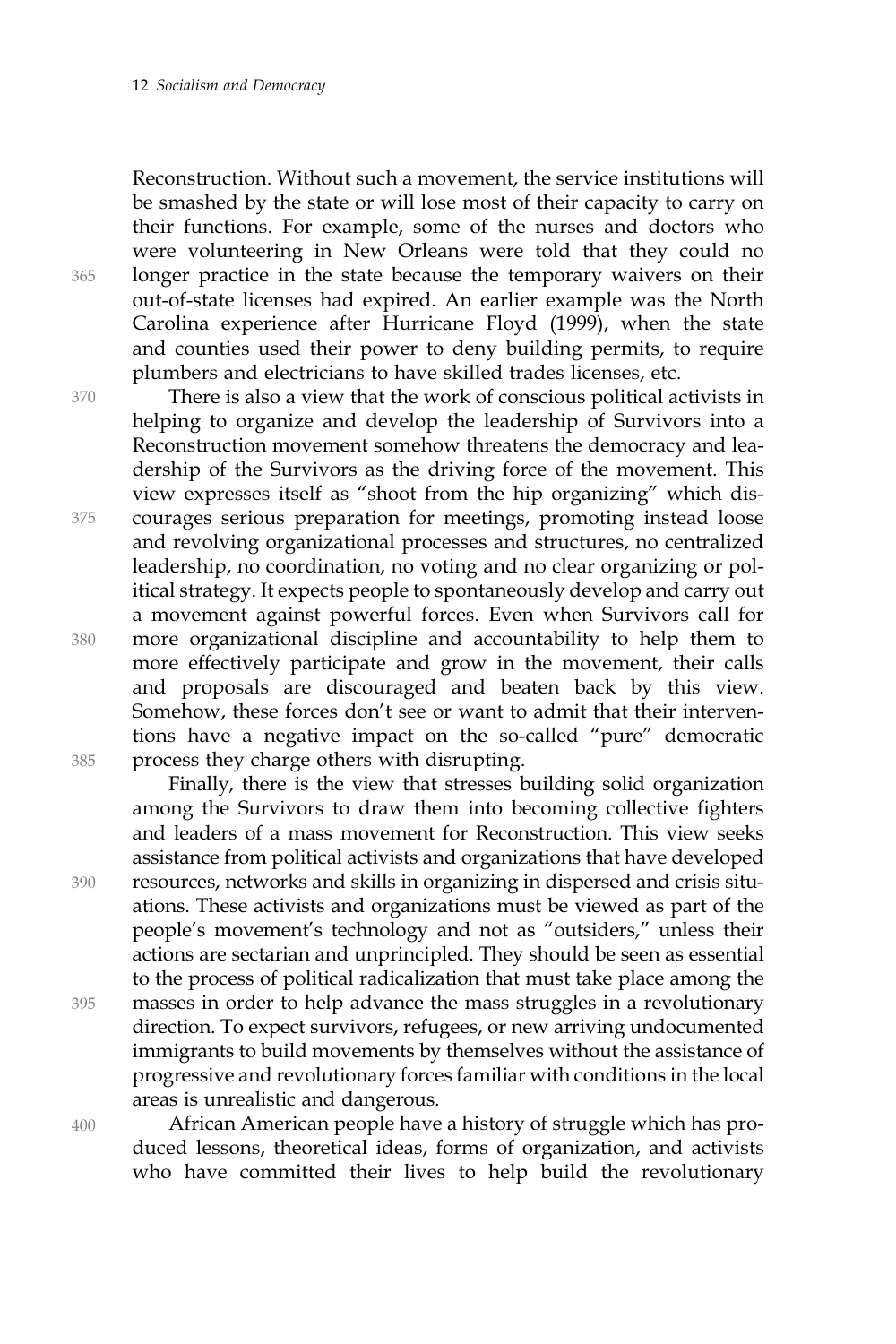Reconstruction. Without such a movement, the service institutions will be smashed by the state or will lose most of their capacity to carry on their functions. For example, some of the nurses and doctors who were volunteering in New Orleans were told that they could no longer practice in the state because the temporary waivers on their out-of-state licenses had expired. An earlier example was the North Carolina experience after Hurricane Floyd (1999), when the state and counties used their power to deny building permits, to require plumbers and electricians to have skilled trades licenses, etc.

There is also a view that the work of conscious political activists in helping to organize and develop the leadership of Survivors into a Reconstruction movement somehow threatens the democracy and leadership of the Survivors as the driving force of the movement. This view expresses itself as "shoot from the hip organizing" which discourages serious preparation for meetings, promoting instead loose and revolving organizational processes and structures, no centralized leadership, no coordination, no voting and no clear organizing or political strategy. It expects people to spontaneously develop and carry out a movement against powerful forces. Even when Survivors call for more organizational discipline and accountability to help them to more effectively participate and grow in the movement, their calls and proposals are discouraged and beaten back by this view. Somehow, these forces don't see or want to admit that their interventions have a negative impact on the so-called "pure" democratic process they charge others with disrupting.

Finally, there is the view that stresses building solid organization among the Survivors to draw them into becoming collective fighters and leaders of a mass movement for Reconstruction. This view seeks assistance from political activists and organizations that have developed resources, networks and skills in organizing in dispersed and crisis situations. These activists and organizations must be viewed as part of the people's movement's technology and not as "outsiders," unless their actions are sectarian and unprincipled. They should be seen as essential to the process of political radicalization that must take place among the masses in order to help advance the mass struggles in a revolutionary direction. To expect survivors, refugees, or new arriving undocumented immigrants to build movements by themselves without the assistance of progressive and revolutionary forces familiar with conditions in the local areas is unrealistic and dangerous.

400

African American people have a history of struggle which has produced lessons, theoretical ideas, forms of organization, and activists who have committed their lives to help build the revolutionary

370

375

365

380

390

385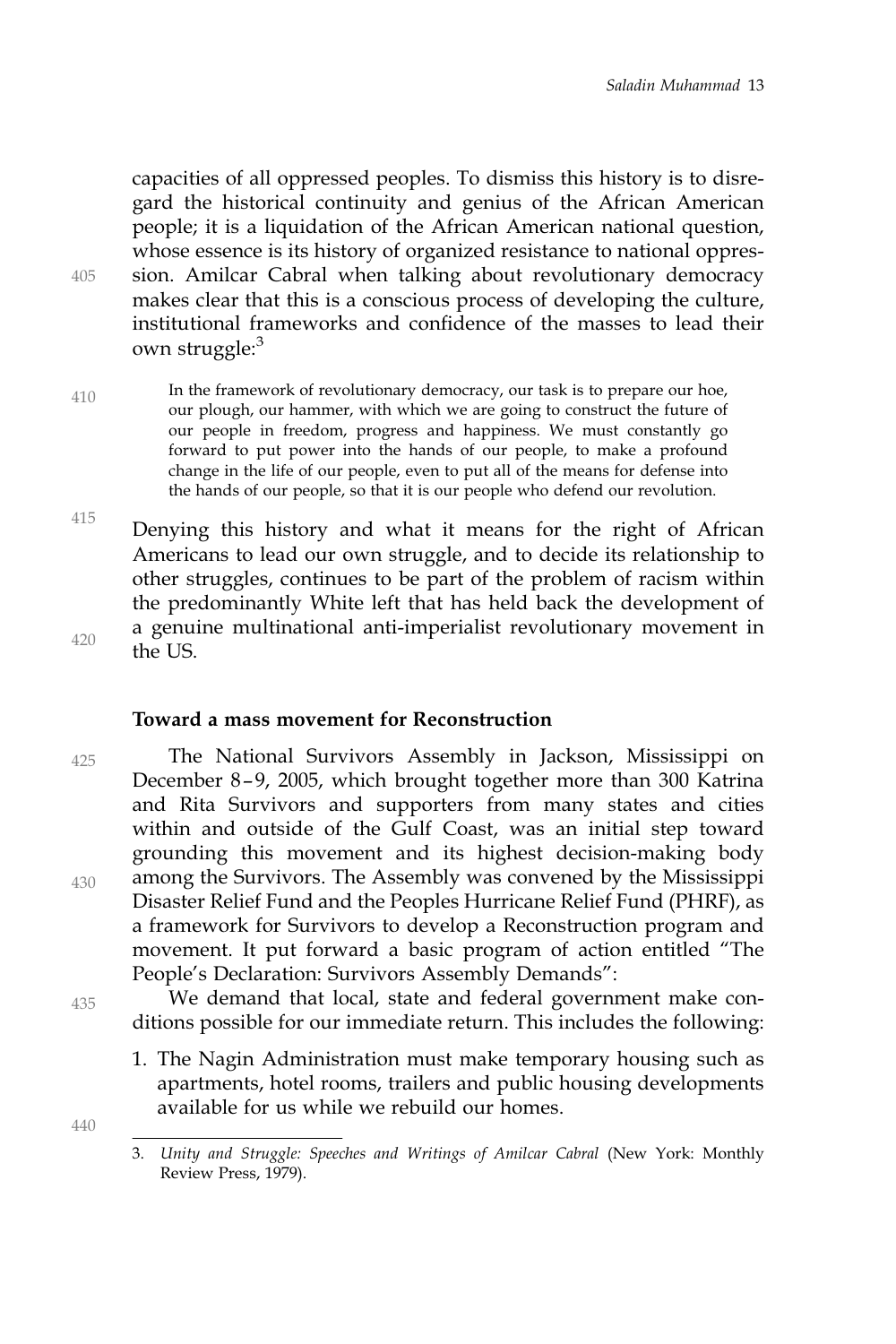capacities of all oppressed peoples. To dismiss this history is to disregard the historical continuity and genius of the African American people; it is a liquidation of the African American national question, whose essence is its history of organized resistance to national oppression. Amilcar Cabral when talking about revolutionary democracy makes clear that this is a conscious process of developing the culture, institutional frameworks and confidence of the masses to lead their own struggle:<sup>3</sup>

In the framework of revolutionary democracy, our task is to prepare our hoe, our plough, our hammer, with which we are going to construct the future of our people in freedom, progress and happiness. We must constantly go forward to put power into the hands of our people, to make a profound change in the life of our people, even to put all of the means for defense into the hands of our people, so that it is our people who defend our revolution. 410

Denying this history and what it means for the right of African Americans to lead our own struggle, and to decide its relationship to other struggles, continues to be part of the problem of racism within the predominantly White left that has held back the development of a genuine multinational anti-imperialist revolutionary movement in the US. 415 420

## Toward a mass movement for Reconstruction

- The National Survivors Assembly in Jackson, Mississippi on December 8 –9, 2005, which brought together more than 300 Katrina and Rita Survivors and supporters from many states and cities within and outside of the Gulf Coast, was an initial step toward grounding this movement and its highest decision-making body among the Survivors. The Assembly was convened by the Mississippi Disaster Relief Fund and the Peoples Hurricane Relief Fund (PHRF), as a framework for Survivors to develop a Reconstruction program and movement. It put forward a basic program of action entitled "The People's Declaration: Survivors Assembly Demands": 425 430
	- We demand that local, state and federal government make conditions possible for our immediate return. This includes the following:
		- 1. The Nagin Administration must make temporary housing such as apartments, hotel rooms, trailers and public housing developments available for us while we rebuild our homes.
- 440

435

<sup>3.</sup> Unity and Struggle: Speeches and Writings of Amilcar Cabral (New York: Monthly Review Press, 1979).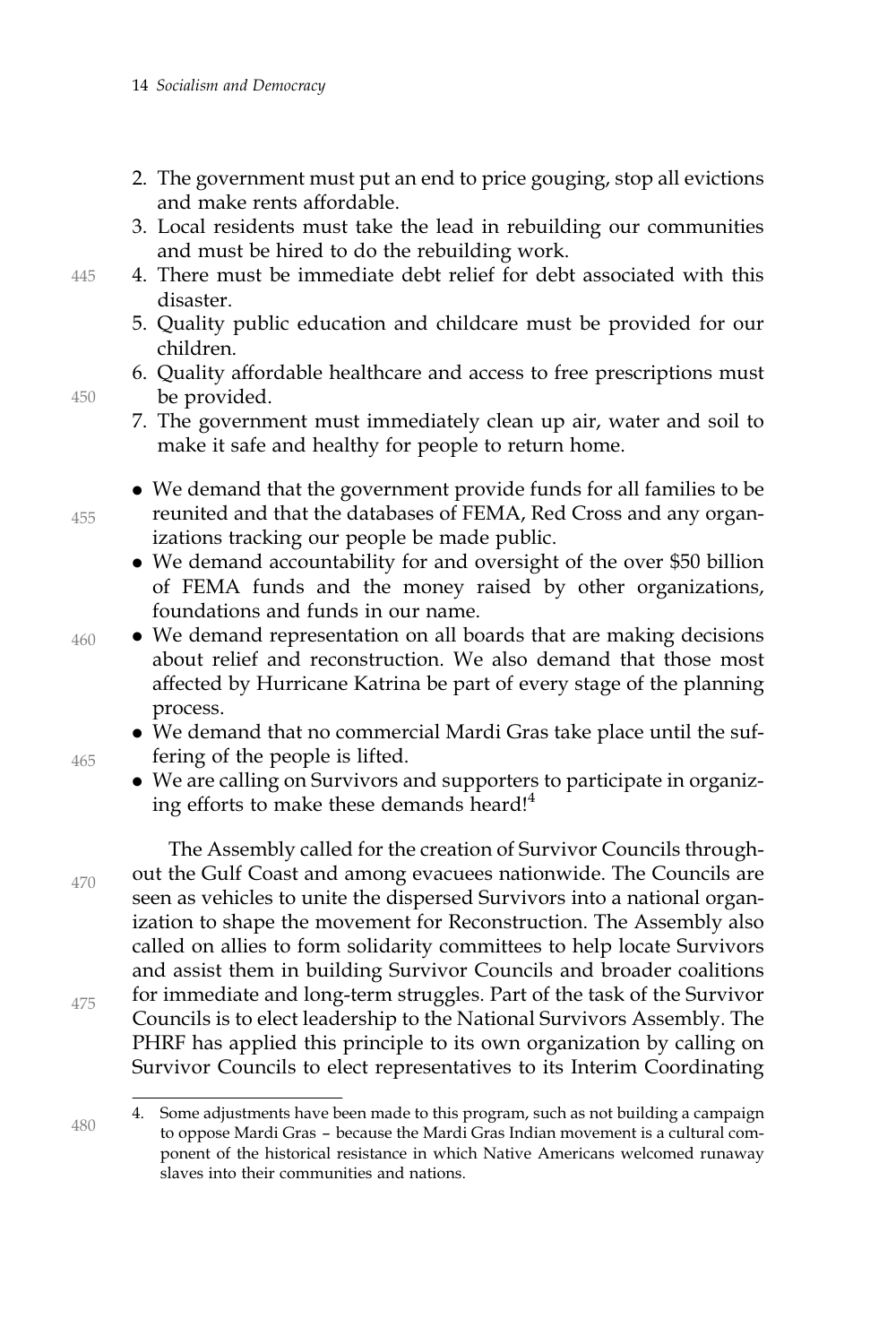- 2. The government must put an end to price gouging, stop all evictions and make rents affordable.
- 3. Local residents must take the lead in rebuilding our communities and must be hired to do the rebuilding work.
- 4. There must be immediate debt relief for debt associated with this disaster.
	- 5. Quality public education and childcare must be provided for our children.
	- 6. Quality affordable healthcare and access to free prescriptions must be provided.
	- 7. The government must immediately clean up air, water and soil to make it safe and healthy for people to return home.
	- . We demand that the government provide funds for all families to be reunited and that the databases of FEMA, Red Cross and any organizations tracking our people be made public.
	- . We demand accountability for and oversight of the over \$50 billion of FEMA funds and the money raised by other organizations, foundations and funds in our name.
- . We demand representation on all boards that are making decisions about relief and reconstruction. We also demand that those most affected by Hurricane Katrina be part of every stage of the planning process. 460
	- . We demand that no commercial Mardi Gras take place until the suffering of the people is lifted.
	- . We are calling on Survivors and supporters to participate in organizing efforts to make these demands heard! $4$

470

475

The Assembly called for the creation of Survivor Councils throughout the Gulf Coast and among evacuees nationwide. The Councils are seen as vehicles to unite the dispersed Survivors into a national organization to shape the movement for Reconstruction. The Assembly also called on allies to form solidarity committees to help locate Survivors and assist them in building Survivor Councils and broader coalitions for immediate and long-term struggles. Part of the task of the Survivor Councils is to elect leadership to the National Survivors Assembly. The PHRF has applied this principle to its own organization by calling on Survivor Councils to elect representatives to its Interim Coordinating

455

450

445

<sup>4.</sup> Some adjustments have been made to this program, such as not building a campaign to oppose Mardi Gras – because the Mardi Gras Indian movement is a cultural component of the historical resistance in which Native Americans welcomed runaway slaves into their communities and nations. 480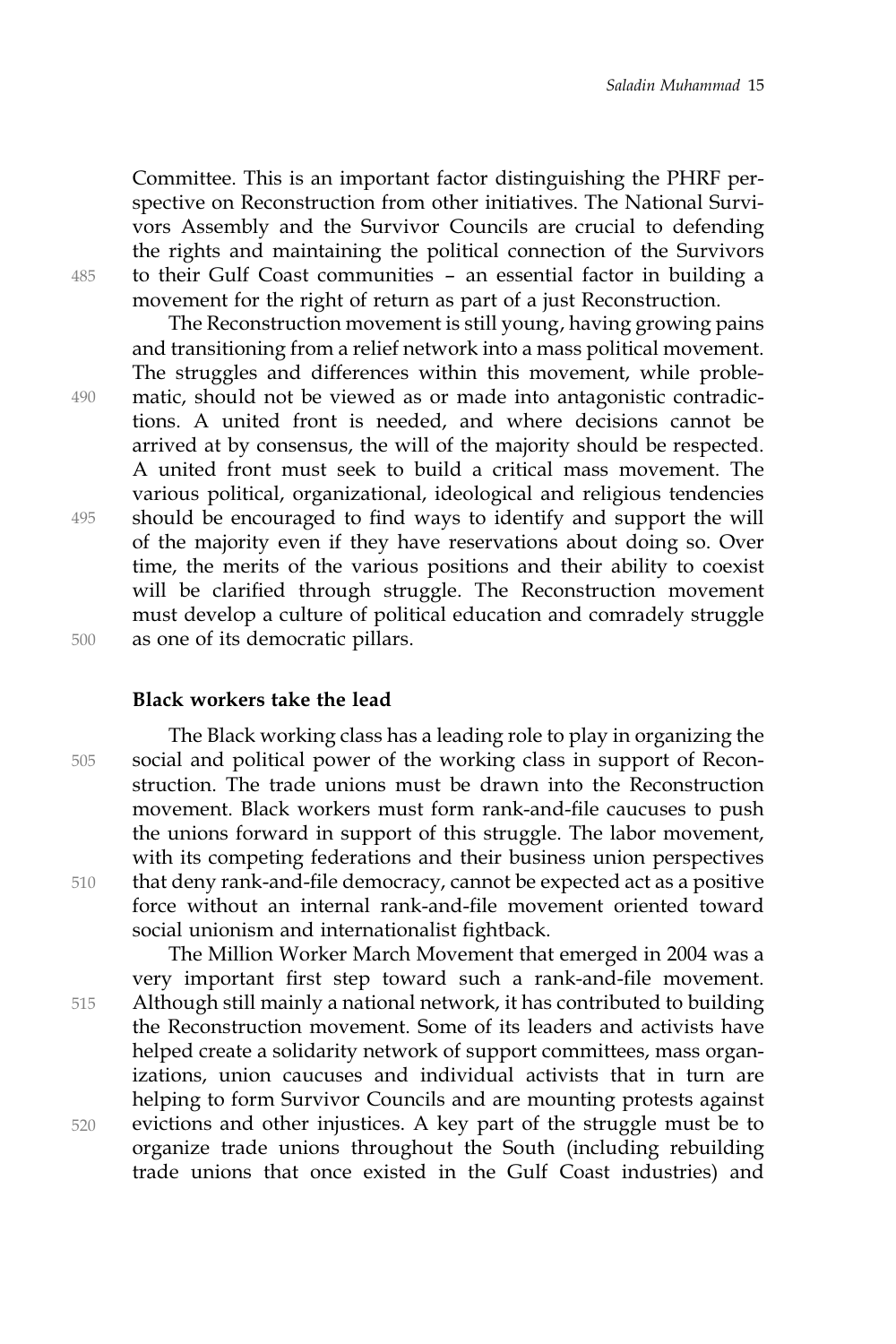Committee. This is an important factor distinguishing the PHRF perspective on Reconstruction from other initiatives. The National Survivors Assembly and the Survivor Councils are crucial to defending the rights and maintaining the political connection of the Survivors to their Gulf Coast communities – an essential factor in building a movement for the right of return as part of a just Reconstruction.

The Reconstruction movement is still young, having growing pains and transitioning from a relief network into a mass political movement. The struggles and differences within this movement, while problematic, should not be viewed as or made into antagonistic contradictions. A united front is needed, and where decisions cannot be arrived at by consensus, the will of the majority should be respected. A united front must seek to build a critical mass movement. The various political, organizational, ideological and religious tendencies should be encouraged to find ways to identify and support the will of the majority even if they have reservations about doing so. Over time, the merits of the various positions and their ability to coexist will be clarified through struggle. The Reconstruction movement must develop a culture of political education and comradely struggle as one of its democratic pillars.

500

### Black workers take the lead

The Black working class has a leading role to play in organizing the social and political power of the working class in support of Reconstruction. The trade unions must be drawn into the Reconstruction movement. Black workers must form rank-and-file caucuses to push the unions forward in support of this struggle. The labor movement, with its competing federations and their business union perspectives that deny rank-and-file democracy, cannot be expected act as a positive force without an internal rank-and-file movement oriented toward social unionism and internationalist fightback. 505 510

The Million Worker March Movement that emerged in 2004 was a very important first step toward such a rank-and-file movement. Although still mainly a national network, it has contributed to building the Reconstruction movement. Some of its leaders and activists have helped create a solidarity network of support committees, mass organizations, union caucuses and individual activists that in turn are helping to form Survivor Councils and are mounting protests against evictions and other injustices. A key part of the struggle must be to organize trade unions throughout the South (including rebuilding trade unions that once existed in the Gulf Coast industries) and 515 520

485

490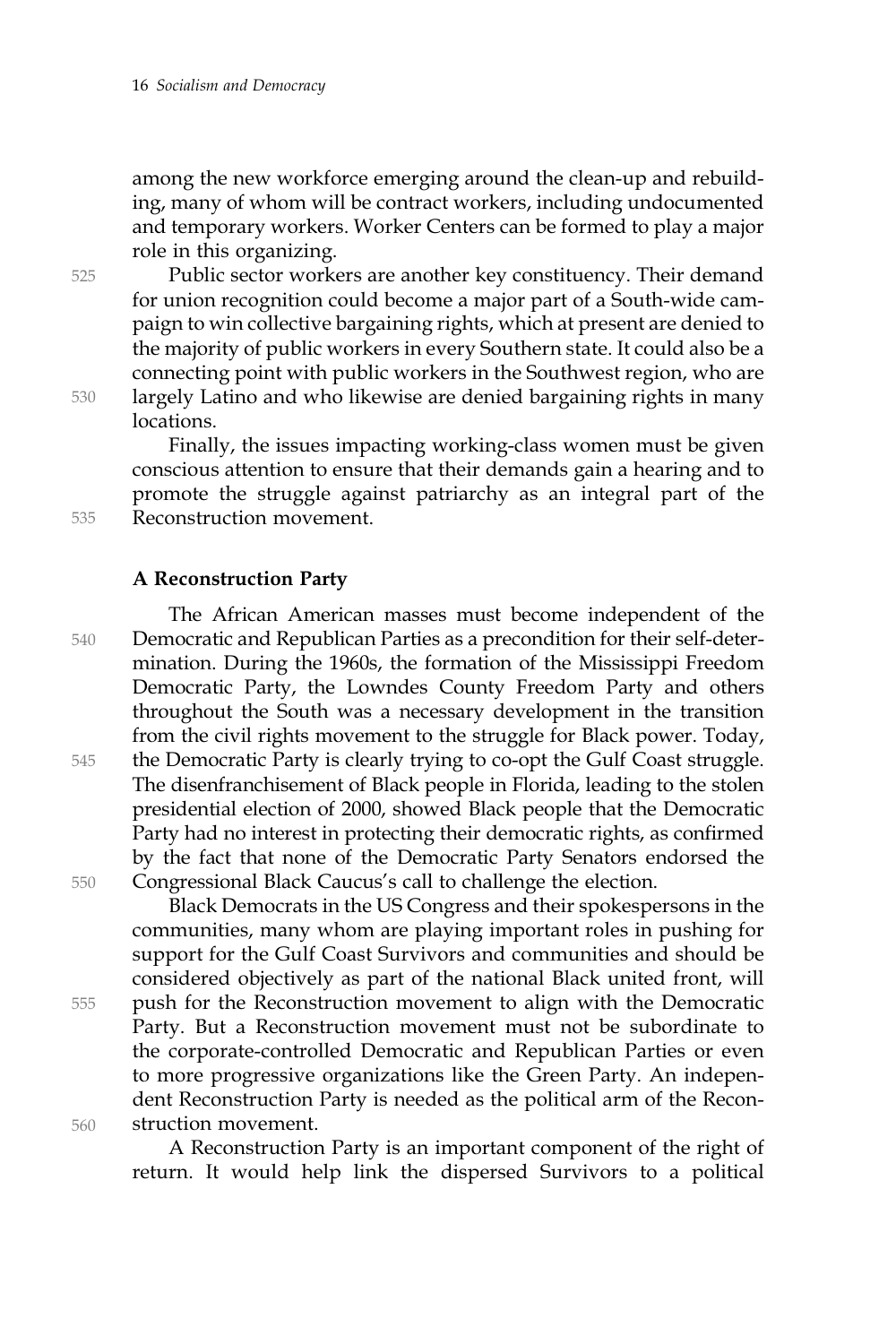among the new workforce emerging around the clean-up and rebuilding, many of whom will be contract workers, including undocumented and temporary workers. Worker Centers can be formed to play a major role in this organizing.

525

530

535

Public sector workers are another key constituency. Their demand for union recognition could become a major part of a South-wide campaign to win collective bargaining rights, which at present are denied to the majority of public workers in every Southern state. It could also be a connecting point with public workers in the Southwest region, who are largely Latino and who likewise are denied bargaining rights in many locations.

Finally, the issues impacting working-class women must be given conscious attention to ensure that their demands gain a hearing and to promote the struggle against patriarchy as an integral part of the Reconstruction movement.

### A Reconstruction Party

The African American masses must become independent of the Democratic and Republican Parties as a precondition for their self-determination. During the 1960s, the formation of the Mississippi Freedom Democratic Party, the Lowndes County Freedom Party and others throughout the South was a necessary development in the transition from the civil rights movement to the struggle for Black power. Today, the Democratic Party is clearly trying to co-opt the Gulf Coast struggle. The disenfranchisement of Black people in Florida, leading to the stolen presidential election of 2000, showed Black people that the Democratic Party had no interest in protecting their democratic rights, as confirmed by the fact that none of the Democratic Party Senators endorsed the Congressional Black Caucus's call to challenge the election. 540 545 550

Black Democrats in the US Congress and their spokespersons in the communities, many whom are playing important roles in pushing for support for the Gulf Coast Survivors and communities and should be considered objectively as part of the national Black united front, will push for the Reconstruction movement to align with the Democratic Party. But a Reconstruction movement must not be subordinate to the corporate-controlled Democratic and Republican Parties or even to more progressive organizations like the Green Party. An independent Reconstruction Party is needed as the political arm of the Reconstruction movement.

A Reconstruction Party is an important component of the right of return. It would help link the dispersed Survivors to a political

555